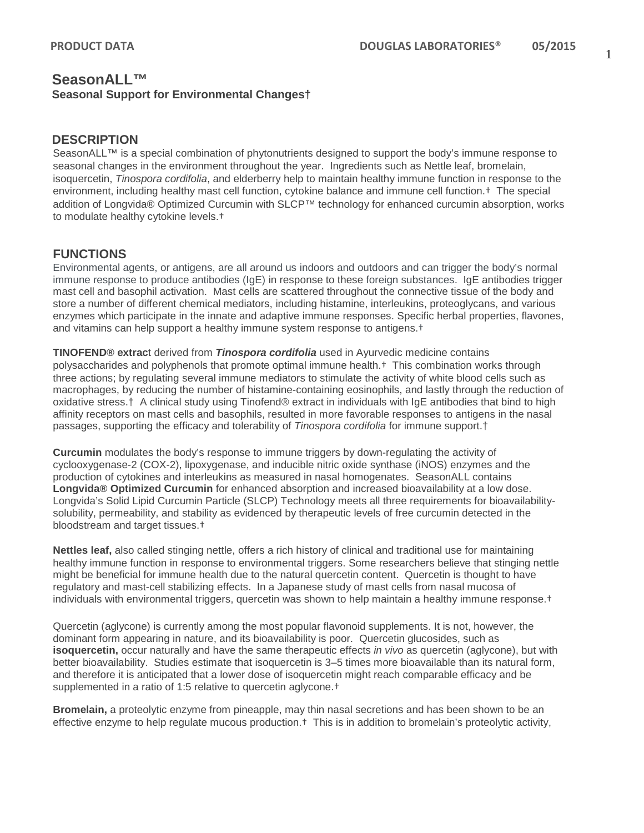# **SeasonALL™ Seasonal Support for Environmental Changes†**

#### **DESCRIPTION**

SeasonALL™ is a special combination of phytonutrients designed to support the body's immune response to seasonal changes in the environment throughout the year. Ingredients such as Nettle leaf, bromelain, isoquercetin, *Tinospora cordifolia*, and elderberry help to maintain healthy immune function in response to the environment, including healthy mast cell function, cytokine balance and immune cell function.† The special addition of Longvida® Optimized Curcumin with SLCP™ technology for enhanced curcumin absorption, works to modulate healthy cytokine levels.†

#### **FUNCTIONS**

Environmental agents, or antigens, are all around us indoors and outdoors and can trigger the body's normal immune response to produce antibodies (IgE) in response to these foreign substances. IgE antibodies trigger mast cell and basophil activation. Mast cells are scattered throughout the connective tissue of the body and store a number of different chemical mediators, including [histamine,](http://www.britannica.com/science/histamine) [interleukins,](http://www.britannica.com/science/interleukin) proteoglycans, and various enzymes which participate in the innate and adaptive immune responses. Specific herbal properties, flavones, and vitamins can help support a healthy immune system response to antigens.†

**TINOFEND® extrac**t derived from *Tinospora cordifolia* used in Ayurvedic medicine contains polysaccharides and polyphenols that promote optimal immune health.† This combination works through three actions; by regulating several immune mediators to stimulate the activity of white blood cells such as macrophages, by reducing the number of histamine-containing eosinophils, and lastly through the reduction of oxidative stress.† A clinical study using Tinofend® extract in individuals with IgE antibodies that bind to high affinity receptors on mast cells and basophils, resulted in more favorable responses to antigens in the nasal passages, supporting the efficacy and tolerability of *Tinospora cordifolia* for immune support.†

**Curcumin** modulates the body's response to immune triggers by down-regulating the activity of cyclooxygenase-2 (COX-2), lipoxygenase, and inducible nitric oxide synthase (iNOS) enzymes and the production of cytokines and interleukins as measured in nasal homogenates. SeasonALL contains **Longvida® Optimized Curcumin** for enhanced absorption and increased bioavailability at a low dose. Longvida's Solid Lipid Curcumin Particle (SLCP) Technology meets all three requirements for bioavailabilitysolubility, permeability, and stability as evidenced by therapeutic levels of free curcumin detected in the bloodstream and target tissues.†

**Nettles leaf,** also called stinging nettle, offers a rich history of clinical and traditional use for maintaining healthy immune function in response to environmental triggers. Some researchers believe that stinging nettle might be beneficial for immune health due to the natural quercetin content. Quercetin is thought to have regulatory and mast-cell stabilizing effects. In a Japanese study of mast cells from nasal mucosa of individuals with environmental triggers, quercetin was shown to help maintain a healthy immune response.†

Quercetin (aglycone) is currently among the most popular flavonoid supplements. It is not, however, the dominant form appearing in nature, and its bioavailability is poor. Quercetin glucosides, such as **isoquercetin,** occur naturally and have the same therapeutic effects *in vivo* as quercetin (aglycone), but with better bioavailability. Studies estimate that isoquercetin is 3–5 times more bioavailable than its natural form, and therefore it is anticipated that a lower dose of isoquercetin might reach comparable efficacy and be supplemented in a ratio of 1:5 relative to quercetin aglycone.†

**Bromelain,** a proteolytic enzyme from pineapple, may thin nasal secretions and has been shown to be an effective enzyme to help regulate mucous production.† This is in addition to bromelain's proteolytic activity,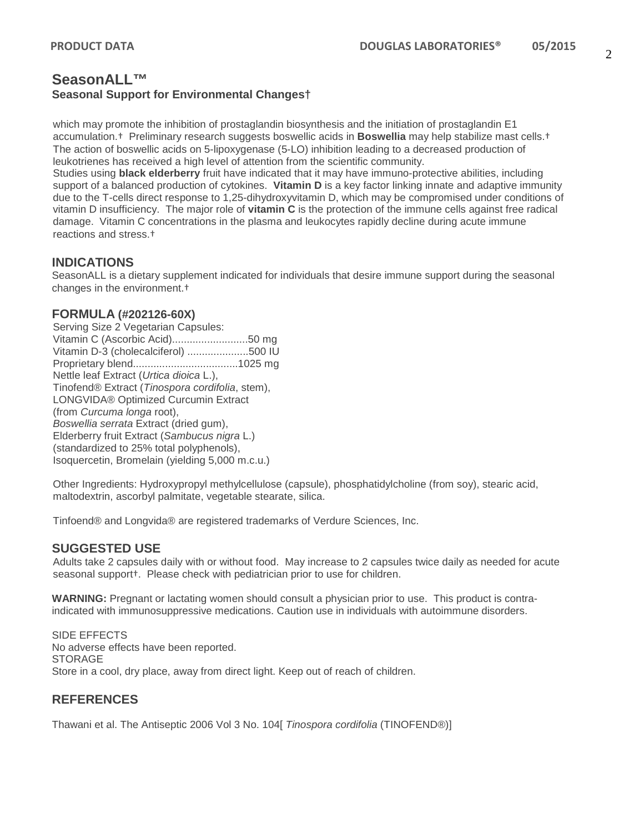## **SeasonALL™ Seasonal Support for Environmental Changes†**

which may promote the inhibition of prostaglandin biosynthesis and the initiation of prostaglandin E1 accumulation.† Preliminary research suggests boswellic acids in **Boswellia** may help stabilize mast cells.† The action of boswellic acids on 5-lipoxygenase (5-LO) inhibition leading to a decreased production of leukotrienes has received a high level of attention from the scientific community.

Studies using **black elderberry** fruit have indicated that it may have immuno-protective abilities, including support of a balanced production of cytokines. **Vitamin D** is a key factor linking innate and adaptive immunity due to the T-cells direct response to 1,25-dihydroxyvitamin D, which may be compromised under conditions of vitamin D insufficiency. The major role of **vitamin C** is the protection of the immune cells against free radical damage. Vitamin C concentrations in the plasma and leukocytes rapidly decline during acute immune reactions and stress.†

#### **INDICATIONS**

SeasonALL is a dietary supplement indicated for individuals that desire immune support during the seasonal changes in the environment.†

#### **FORMULA (#202126-60X)**

Serving Size 2 Vegetarian Capsules: Vitamin C (Ascorbic Acid)..........................50 mg Vitamin D-3 (cholecalciferol) .....................500 IU Proprietary blend....................................1025 mg Nettle leaf Extract (*Urtica dioica* L.), Tinofend® Extract (*Tinospora cordifolia*, stem), LONGVIDA® Optimized Curcumin Extract (from *Curcuma longa* root), *Boswellia serrata* Extract (dried gum), Elderberry fruit Extract (*Sambucus nigra* L.) (standardized to 25% total polyphenols), Isoquercetin, Bromelain (yielding 5,000 m.c.u.)

Other Ingredients: Hydroxypropyl methylcellulose (capsule), phosphatidylcholine (from soy), stearic acid, maltodextrin, ascorbyl palmitate, vegetable stearate, silica.

Tinfoend® and Longvida® are registered trademarks of Verdure Sciences, Inc.

### **SUGGESTED USE**

Adults take 2 capsules daily with or without food. May increase to 2 capsules twice daily as needed for acute seasonal support†. Please check with pediatrician prior to use for children.

**WARNING:** Pregnant or lactating women should consult a physician prior to use. This product is contraindicated with immunosuppressive medications. Caution use in individuals with autoimmune disorders.

SIDE EFFECTS No adverse effects have been reported. STORAGE Store in a cool, dry place, away from direct light. Keep out of reach of children.

### **REFERENCES**

Thawani et al. The Antiseptic 2006 Vol 3 No. 104[ *Tinospora cordifolia* (TINOFEND®)]